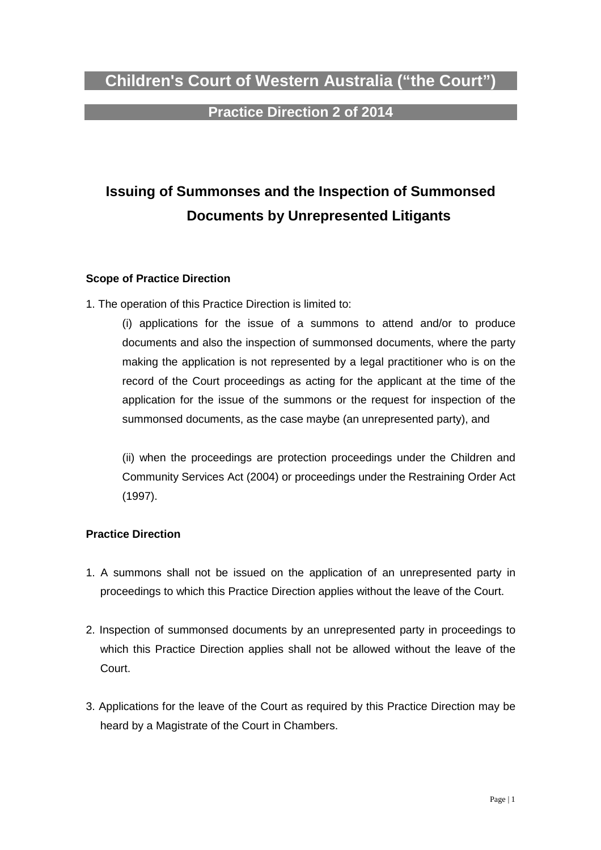## **Children's Court of Western Australia ("the Court")**

## **Practice Direction 2 of 2014**

# **Issuing of Summonses and the Inspection of Summonsed Documents by Unrepresented Litigants**

#### **Scope of Practice Direction**

1. The operation of this Practice Direction is limited to:

 (i) applications for the issue of a summons to attend and/or to produce documents and also the inspection of summonsed documents, where the party making the application is not represented by a legal practitioner who is on the record of the Court proceedings as acting for the applicant at the time of the application for the issue of the summons or the request for inspection of the summonsed documents, as the case maybe (an unrepresented party), and

 (ii) when the proceedings are protection proceedings under the Children and Community Services Act (2004) or proceedings under the Restraining Order Act (1997).

#### **Practice Direction**

- 1. A summons shall not be issued on the application of an unrepresented party in proceedings to which this Practice Direction applies without the leave of the Court.
- 2. Inspection of summonsed documents by an unrepresented party in proceedings to which this Practice Direction applies shall not be allowed without the leave of the Court.
- 3. Applications for the leave of the Court as required by this Practice Direction may be heard by a Magistrate of the Court in Chambers.